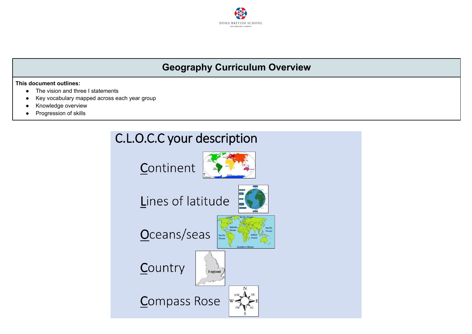

## **Geography Curriculum Overview**

#### **This document outlines:**

- The vision and three I statements
- Key vocabulary mapped across each year group
- Knowledge overview
- Progression of skills

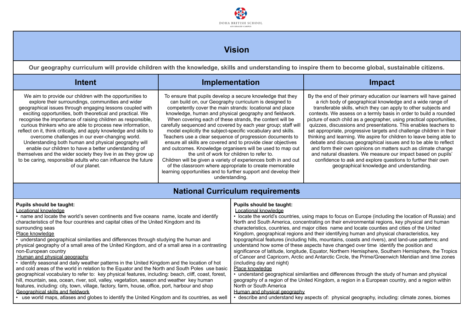

## **Vision**

**Our geography curriculum will provide children with the knowledge, skills and understanding to inspire them to become global, sustainable citizens.**

| Intent                                                                                                                                                                                                                                                                                                                                                                                                                                                                                                                                                                                                                                                                                                                                                                                                                                                                                                                                                                                                                                                                                                                                                                        | <b>Implementation</b>                                                                                                                                                                                                                                                                                                                                                                                                                                                                                                                                                                                                                                                                                                                                                                                                                                                                               |                                                                                                                                                            | <b>Impact</b>                                                                                                                                                                                                                                                                                                                                                                                                                                                                                                                                                                                                                                                                                                                                                                                                                                                                                                                                                                                                                                                                                                             |
|-------------------------------------------------------------------------------------------------------------------------------------------------------------------------------------------------------------------------------------------------------------------------------------------------------------------------------------------------------------------------------------------------------------------------------------------------------------------------------------------------------------------------------------------------------------------------------------------------------------------------------------------------------------------------------------------------------------------------------------------------------------------------------------------------------------------------------------------------------------------------------------------------------------------------------------------------------------------------------------------------------------------------------------------------------------------------------------------------------------------------------------------------------------------------------|-----------------------------------------------------------------------------------------------------------------------------------------------------------------------------------------------------------------------------------------------------------------------------------------------------------------------------------------------------------------------------------------------------------------------------------------------------------------------------------------------------------------------------------------------------------------------------------------------------------------------------------------------------------------------------------------------------------------------------------------------------------------------------------------------------------------------------------------------------------------------------------------------------|------------------------------------------------------------------------------------------------------------------------------------------------------------|---------------------------------------------------------------------------------------------------------------------------------------------------------------------------------------------------------------------------------------------------------------------------------------------------------------------------------------------------------------------------------------------------------------------------------------------------------------------------------------------------------------------------------------------------------------------------------------------------------------------------------------------------------------------------------------------------------------------------------------------------------------------------------------------------------------------------------------------------------------------------------------------------------------------------------------------------------------------------------------------------------------------------------------------------------------------------------------------------------------------------|
| We aim to provide our children with the opportunities to<br>explore their surroundings, communities and wider<br>geographical issues through engaging lessons coupled with<br>exciting opportunities, both theoretical and practical. We<br>recognise the importance of raising children as responsible,<br>curious thinkers who are able to process new information,<br>reflect on it, think critically, and apply knowledge and skills to<br>overcome challenges in our ever-changing world.<br>Understanding both human and physical geography will<br>enable our children to have a better understanding of<br>themselves and the wider society they live in as they grow up<br>to be caring, responsible adults who can influence the future<br>of our planet.                                                                                                                                                                                                                                                                                                                                                                                                           | To ensure that pupils develop a secure knowledge that they<br>can build on, our Geography curriculum is designed to<br>competently cover the main strands: locational and place<br>knowledge, human and physical geography and fieldwork.<br>When covering each of these strands, the content will be<br>carefully sequenced and covered by each year group; staff will<br>model explicitly the subject-specific vocabulary and skills.<br>Teachers use a clear sequence of progression documents to<br>ensure all skills are covered and to provide clear objectives<br>and outcomes. Knowledge organisers will be used to map out<br>the unit of work for children to refer to.<br>Children will be given a variety of experiences both in and out<br>of the classroom where appropriate to create memorable<br>learning opportunities and to further support and develop their<br>understanding. |                                                                                                                                                            | By the end of their primary education our learners will have gained<br>a rich body of geographical knowledge and a wide range of<br>transferable skills, which they can apply to other subjects and<br>contexts. We assess on a termly basis in order to build a rounded<br>picture of each child as a geographer, using practical opportunities,<br>quizzes, discussions and presentations. This enables teachers to<br>set appropriate, progressive targets and challenge children in their<br>thinking and learning. We aspire for children to leave being able to<br>debate and discuss geographical issues and to be able to reflect<br>and form their own opinions on matters such as climate change<br>and natural disasters. We measure our impact based on pupils'<br>confidence to ask and explore questions to further their own<br>geographical knowledge and understanding.                                                                                                                                                                                                                                  |
|                                                                                                                                                                                                                                                                                                                                                                                                                                                                                                                                                                                                                                                                                                                                                                                                                                                                                                                                                                                                                                                                                                                                                                               |                                                                                                                                                                                                                                                                                                                                                                                                                                                                                                                                                                                                                                                                                                                                                                                                                                                                                                     | <b>National Curriculum requirements</b>                                                                                                                    |                                                                                                                                                                                                                                                                                                                                                                                                                                                                                                                                                                                                                                                                                                                                                                                                                                                                                                                                                                                                                                                                                                                           |
| Pupils should be taught:<br>Locational knowledge<br>• name and locate the world's seven continents and five oceans name, locate and identify<br>characteristics of the four countries and capital cities of the United Kingdom and its<br>surrounding seas<br>Place knowledge<br>• understand geographical similarities and differences through studying the human and<br>physical geography of a small area of the United Kingdom, and of a small area in a contrasting<br>non-European country<br>Human and physical geography<br>· identify seasonal and daily weather patterns in the United Kingdom and the location of hot<br>and cold areas of the world in relation to the Equator and the North and South Poles use basic<br>geographical vocabulary to refer to: key physical features, including: beach, cliff, coast, forest,<br>hill, mountain, sea, ocean, river, soil, valley, vegetation, season and weather key human<br>features, including: city, town, village, factory, farm, house, office, port, harbour and shop<br>Geographical skills and fieldwork<br>use world maps, atlases and globes to identify the United Kingdom and its countries, as well |                                                                                                                                                                                                                                                                                                                                                                                                                                                                                                                                                                                                                                                                                                                                                                                                                                                                                                     | Pupils should be taught:<br>Locational knowledge<br>(including day and night)<br>Place knowledge<br>North or South America<br>Human and physical geography | • locate the world's countries, using maps to focus on Europe (including the location of Russia) and<br>North and South America, concentrating on their environmental regions, key physical and human<br>characteristics, countries, and major cities name and locate counties and cities of the United<br>Kingdom, geographical regions and their identifying human and physical characteristics, key<br>topographical features (including hills, mountains, coasts and rivers), and land-use patterns; and<br>understand how some of these aspects have changed over time identify the position and<br>significance of latitude, longitude, Equator, Northern Hemisphere, Southern Hemisphere, the Tropics<br>of Cancer and Capricorn, Arctic and Antarctic Circle, the Prime/Greenwich Meridian and time zones<br>• understand geographical similarities and differences through the study of human and physical<br>geography of a region of the United Kingdom, a region in a European country, and a region within<br>• describe and understand key aspects of: physical geography, including: climate zones, biomes |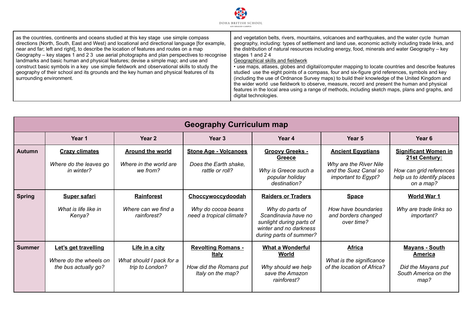

as the countries, continents and oceans studied at this key stage use simple compass directions (North, South, East and West) and locational and directional language [for example, near and far; left and right], to describe the location of features and routes on a map Geography – key stages 1 and 2 3 use aerial photographs and plan perspectives to recognise landmarks and basic human and physical features; devise a simple map; and use and construct basic symbols in a key use simple fieldwork and observational skills to study the geography of their school and its grounds and the key human and physical features of its surrounding environment.

and vegetation belts, rivers, mountains, volcanoes and earthquakes, and the water cycle human geography, including: types of settlement and land use, economic activity including trade links, and the distribution of natural resources including energy, food, minerals and water Geography – key stages 1 and 2 4

#### Geographical skills and fieldwork

• use maps, atlases, globes and digital/computer mapping to locate countries and describe features studied use the eight points of a compass, four and six-figure grid references, symbols and key (including the use of Ordnance Survey maps) to build their knowledge of the United Kingdom and the wider world use fieldwork to observe, measure, record and present the human and physical features in the local area using a range of methods, including sketch maps, plans and graphs, and digital technologies.

| <b>Geography Curriculum map</b> |                                                                        |                                                               |                                                                                   |                                                                                                                                                      |                                                                                                    |                                                                                                                    |
|---------------------------------|------------------------------------------------------------------------|---------------------------------------------------------------|-----------------------------------------------------------------------------------|------------------------------------------------------------------------------------------------------------------------------------------------------|----------------------------------------------------------------------------------------------------|--------------------------------------------------------------------------------------------------------------------|
|                                 | Year 1                                                                 | Year <sub>2</sub>                                             | Year <sub>3</sub>                                                                 | Year 4                                                                                                                                               | Year 5                                                                                             | Year <sub>6</sub>                                                                                                  |
| <b>Autumn</b>                   | <b>Crazy climates</b><br>Where do the leaves go<br>in winter?          | <b>Around the world</b><br>Where in the world are<br>we from? | <b>Stone Age - Volcanoes</b><br>Does the Earth shake.<br>rattle or roll?          | <b>Groovy Greeks -</b><br>Greece<br>Why is Greece such a<br>popular holiday<br>destination?                                                          | <b>Ancient Egyptians</b><br>Why are the River Nile<br>and the Suez Canal so<br>important to Egypt? | <b>Significant Women in</b><br>21st Century:<br>How can grid references<br>help us to identify places<br>on a map? |
| <b>Spring</b>                   | <b>Super safari</b><br>What is life like in<br>Kenya?                  | <b>Rainforest</b><br>Where can we find a<br>rainforest?       | Choccywoccydoodah<br>Why do cocoa beans<br>need a tropical climate?               | <b>Raiders or Traders</b><br>Why do parts of<br>Scandinavia have no<br>sunlight during parts of<br>winter and no darkness<br>during parts of summer? | <b>Space</b><br>How have boundaries<br>and borders changed<br>over time?                           | <b>World War 1</b><br>Why are trade links so<br>important?                                                         |
| <b>Summer</b>                   | Let's get travelling<br>Where do the wheels on<br>the bus actually go? | Life in a city<br>What should I pack for a<br>trip to London? | <b>Revolting Romans -</b><br>Italy<br>How did the Romans put<br>Italy on the map? | <b>What a Wonderful</b><br>World<br>Why should we help<br>save the Amazon<br>rainforest?                                                             | <b>Africa</b><br>What is the significance<br>of the location of Africa?                            | <b>Mayans - South</b><br>America<br>Did the Mayans put<br>South America on the<br>map?                             |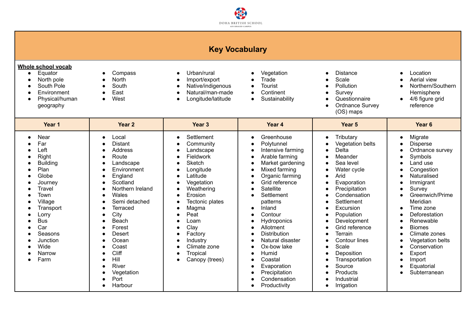

### **Key Vocabulary**

| Whole school vocab |  |
|--------------------|--|
|--------------------|--|

- Equator
- North pole
- South Pole
- Environment
- Physical/human geography
- **Compass** ● North
- South
- East

●

Harbour

● West

- Urban/rural
- Import/export ●
- Native/indigenous ● Natural/man-made
- Longitude/latitude
- Vegetation
	- **Trade**
- **。 Tourist**
- Continent
- - Sustainability
- ●
- Distance S c ale
- Pollution
- Survey

● Irrigation

●

●

- Questionnaire
- $\bullet$ Ordnance Survey ( O S ) m a p s
- Location
- A e rial vie w
- Northern/Southern Hemisphere
- 4/6 figure grid reference
	- Migrate
- Ordnance survey
- 
- $\bullet$ Greenwich/Prime
- ●
- Deforestation
- ●
- Climate zones
- Vegetation belts
- Conservation
- Subterranean
- **Ye a r 1 Ye a r 2 Ye a r 3 Ye a r 4 Ye a r 5 Ye a r 6** ● Near ● F a r ● L e ft ● **Right** ● B uildin g ● Plan ● Glo b e ● Journey ● **Travel** ● Town ● Village • Transport ● Lorry ● Bus **●** Car ● Seasons ● **Junction**  $\bullet$ Wid e ● Narrow ● Farm ● Local • Distant ● Address ● Route ● Landscape ● Environment ● **England** ● Scotland ● Northern Ireland ● W ale s  $\bullet$ Semi detached ● **Terraced** ● Cit y ● B e a c h ● Forest ● Desert ● Ocean  $\bullet$ Coast ● **Cliff** ● Hill • River ● Vegetation ● Port ● Settlement ● Community ● Landscape ● Fieldwork ● Sketch ● Longitude ● Latitude ● Vegetation ● Weathering **●** Erosion ● Tectonic plates ● M a g m a ● Peat ● L o a m ● Cla y ● Factory • Industry ● Climate zone ● **Tropical** • Canopy (trees) ● **Greenhouse** ● Polytunnel • Intensive farming **。** A r a ble f a r min g ● Market gardening ● Mixed farming ● Organic farming ● Grid reference ● Satellite **。** Settlement patterns • Inland ● Contour ● **Hydroponics** ● Allotment ● Distribution ● Natural disaster ● Ox-bow lake ● H u mid ● Coastal • Evaporation ● Precipitation ● Condensation ● **Tributary** ● Vegetation belts ● D elt a ● Meander ● Sea level Water cycle Arid Evaporation ● Precipitation ● Condensatio n ● Settlement ● Excursion ● Population ● Development ● Grid reference ● Terrain ● Contour lines ● S c ale ● **Deposition** ● **Transportation** ● Source ● Products • Industrial ● ● **Disperse** ● ● S y m b ols ● Land use ● Congestion ● Naturalised • Immigrant ● Survey Meridian Tim e z o n e R e n e w a ble ● Bio m e s ● ● Export • Import ● Equatorial

●

Productivity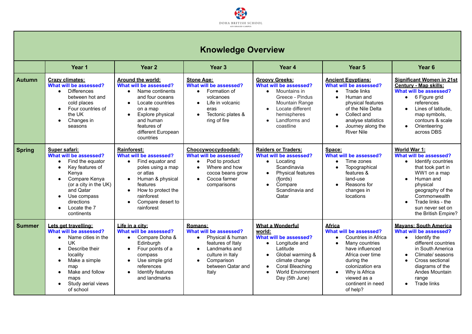

# **Knowledge Overview**

|               | Year 1                                                                                                                                                                                                                              | Year <sub>2</sub>                                                                                                                                                                                                                                     | Year <sub>3</sub>                                                                                                                                                                            | Year 4                                                                                                                                                                                                                                 | Year <sub>5</sub>                                                                                                                                                                                                          | Year <sub>6</sub>                                                                                                                                                                                                                           |
|---------------|-------------------------------------------------------------------------------------------------------------------------------------------------------------------------------------------------------------------------------------|-------------------------------------------------------------------------------------------------------------------------------------------------------------------------------------------------------------------------------------------------------|----------------------------------------------------------------------------------------------------------------------------------------------------------------------------------------------|----------------------------------------------------------------------------------------------------------------------------------------------------------------------------------------------------------------------------------------|----------------------------------------------------------------------------------------------------------------------------------------------------------------------------------------------------------------------------|---------------------------------------------------------------------------------------------------------------------------------------------------------------------------------------------------------------------------------------------|
| <b>Autumn</b> | <b>Crazy climates:</b><br>What will be assessed?<br><b>Differences</b><br>$\bullet$<br>between hot and<br>cold places<br>Four countries of<br>the UK<br>Changes in<br>$\bullet$<br>seasons                                          | Around the world:<br>What will be assessed?<br>Name continents<br>$\bullet$<br>and four oceans<br>Locate countries<br>$\bullet$<br>on a map<br>Explore physical<br>$\bullet$<br>and human<br>features of<br>different European<br>countries           | <b>Stone Age:</b><br>What will be assessed?<br>Formation of<br>$\bullet$<br>volcanoes<br>Life in volcanic<br>eras<br>Tectonic plates &<br>$\bullet$<br>ring of fire                          | <b>Groovy Greeks:</b><br>What will be assessed?<br>Mountains in<br>$\bullet$<br>Greece - Pindus<br>Mountain Range<br>Locate different<br>$\bullet$<br>hemispheres<br>Landforms and<br>coastline                                        | <b>Ancient Egyptians:</b><br>What will be assessed?<br>Trade links<br>Human and<br>physical features<br>of the Nile Delta<br>Collect and<br>analyse statistics<br>Journey along the<br><b>River Nile</b>                   | <b>Significant Women in 21st</b><br><b>Century - Map skills:</b><br>What will be assessed?<br>6 Figure grid<br>$\bullet$<br>references<br>Lines of latitude,<br>map symbols,<br>contours & scale<br>Orienteering<br>$\bullet$<br>across DBS |
| <b>Spring</b> | Super safari:<br>What will be assessed?<br>Find the equator<br>$\bullet$<br>Key features of<br>Kenva<br>Compare Kenya<br>(or a city in the UK)<br>and Qatar<br>Use compass<br>$\bullet$<br>directions<br>Locate the 7<br>continents | Rainforest:<br>What will be assessed?<br>Find equator and<br>$\bullet$<br>poles using a map<br>or atlas<br>Human & physical<br>$\bullet$<br>features<br>How to protect the<br>$\bullet$<br>rainforest<br>Compare desert to<br>$\bullet$<br>rainforest | Choccvwoccvdoodah:<br>What will be assessed?<br>Pod to product<br>$\bullet$<br>Where and how<br>cocoa beans grow<br>Cocoa farmer<br>$\bullet$<br>comparisons                                 | <b>Raiders or Traders:</b><br>What will be assessed?<br>Locating<br>$\bullet$<br>Scandinavia<br><b>Physical features</b><br>$\bullet$<br>(fjords)<br>Compare<br>$\bullet$<br>Scandinavia and<br>Qatar                                  | Space:<br>What will be assessed?<br>Time zones<br>Topographical<br>features &<br>land-use<br>Reasons for<br>changes in<br>locations                                                                                        | World War 1:<br>What will be assessed?<br>Identify countries<br>$\bullet$<br>that took part in<br>WW1 on a map<br>Human and<br>physical<br>geography of the<br>Commonwealth<br>Trade links - the<br>sun never set on<br>the British Empire? |
| <b>Summer</b> | Lets get travelling:<br>What will be assessed?<br>Name cities in the<br>$\bullet$<br><b>UK</b><br>Describe their<br>locality<br>Make a simple<br>map<br>Make and follow<br>maps<br>Study aerial views<br>of school                  | Life in a city:<br>What will be assessed?<br>Compare Doha &<br>$\bullet$<br>Edinburgh<br>Four points of a<br>$\bullet$<br>compass<br>Use simple grid<br>$\bullet$<br>references<br>Identify features<br>$\bullet$<br>and landmarks                    | <b>Romans:</b><br>What will be assessed?<br>Physical & human<br>$\bullet$<br>features of Italy<br>Landmarks and<br>culture in Italy<br>Comparison<br>$\bullet$<br>between Qatar and<br>Italy | <b>What a Wonderful</b><br>world:<br>What will be assessed?<br>Longitude and<br>$\bullet$<br>Latitude<br>Global warming &<br>climate change<br>Coral Bleaching<br>$\bullet$<br><b>World Environment</b><br>$\bullet$<br>Day (5th June) | <b>Africa</b><br>What will be assessed?<br>Countries in Africa<br>Many countries<br>have influenced<br>Africa over time<br>during the<br>colonization era<br>Why is Africa<br>viewed as a<br>continent in need<br>of help? | <b>Mavans: South America</b><br>What will be assessed?<br>Identify the<br>$\bullet$<br>different countries<br>in South America<br>Climate/ seasons<br>Cross sectional<br>diagrams of the<br>Andes Mountain<br>range<br>Trade links          |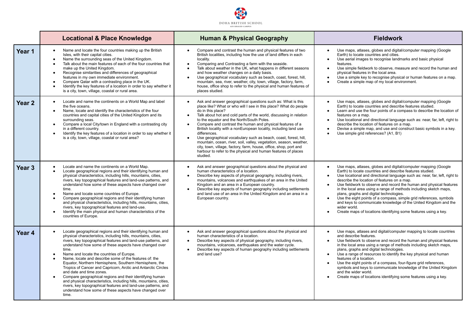

|                   | <b>Locational &amp; Place Knowledge</b>                                                                                                                                                                                                                                                                                                                                                                                                                                                                                                                                                                                                                                                                                                                                                                                      | <b>Human &amp; Physical Geography</b>                                                                                                                                                                                                                                                                                                                                                                                                                                                                                                                                                                                                                                                                                            | <b>Fieldwork</b>                                                                                                                                                                                                                                                                                                                                                                                                                                                                                                                                                                                                                                                                                      |  |
|-------------------|------------------------------------------------------------------------------------------------------------------------------------------------------------------------------------------------------------------------------------------------------------------------------------------------------------------------------------------------------------------------------------------------------------------------------------------------------------------------------------------------------------------------------------------------------------------------------------------------------------------------------------------------------------------------------------------------------------------------------------------------------------------------------------------------------------------------------|----------------------------------------------------------------------------------------------------------------------------------------------------------------------------------------------------------------------------------------------------------------------------------------------------------------------------------------------------------------------------------------------------------------------------------------------------------------------------------------------------------------------------------------------------------------------------------------------------------------------------------------------------------------------------------------------------------------------------------|-------------------------------------------------------------------------------------------------------------------------------------------------------------------------------------------------------------------------------------------------------------------------------------------------------------------------------------------------------------------------------------------------------------------------------------------------------------------------------------------------------------------------------------------------------------------------------------------------------------------------------------------------------------------------------------------------------|--|
| Year 1            | Name and locate the four countries making up the British<br>$\bullet$<br>Isles, with their capital cities.<br>Name the surrounding seas of the United Kingdom.<br>$\bullet$<br>Talk about the main features of each of the four countries that<br>$\bullet$<br>make up the United Kingdom.<br>Recognise similarities and differences of geographical<br>features in my own immediate environment.<br>Compare Qatar with a contrasting place in the UK.<br>Identify the key features of a location in order to say whether it<br>is a city, town, village, coastal or rural area.                                                                                                                                                                                                                                             | Compare and contrast the human and physical features of two<br>British localities, including how the use of land differs in each<br>locality.<br>Comparing and Contrasting a farm with the seaside.<br>$\bullet$<br>Talk about weather in the UK, what happens in different seasons<br>and how weather changes on a daily basis.<br>Use geographical vocabulary such as beach, coast, forest, hill,<br>mountain, sea, river, weather, city, town, village, factory, farm,<br>house, office shop to refer to the physical and human features of<br>places studied.                                                                                                                                                                | Use maps, atlases, globes and digital/computer mapping (Google<br>Earth) to locate countries and cities.<br>Use aerial images to recognise landmarks and basic physical<br>$\bullet$<br>features.<br>Use simple fieldwork to observe, measure and record the human and<br>$\bullet$<br>physical features in the local area.<br>Use a simple key to recognise physical or human features on a map.<br>Create a simple map of my local environment.                                                                                                                                                                                                                                                     |  |
| Year <sub>2</sub> | Locate and name the continents on a World Map and label<br>$\bullet$<br>the five oceans.<br>Name, locate and identify the characteristics of the four<br>$\bullet$<br>countries and capital cities of the United Kingdom and its<br>surrounding seas.<br>Compare a local City/town in England with a contrasting city<br>$\bullet$<br>in a different country.<br>Identify the key features of a location in order to say whether it<br>is a city, town, village, coastal or rural area?                                                                                                                                                                                                                                                                                                                                      | Ask and answer geographical questions such as: What is this<br>$\bullet$<br>place like? What or who will I see in this place? What do people<br>do in this place?<br>Talk about hot and cold parts of the world, discussing in relation<br>to the equator and the North/South Poles.<br>Compare and contrast the human and physical features of a<br>British locality with a nonEuropean locality, including land use<br>differences.<br>Use geographical vocabulary such as beach, coast, forest, hill,<br>mountain, ocean, river, soil, valley, vegetation, season, weather,<br>city, town, village, factory, farm, house, office, shop, port and<br>harbour to refer to the physical and human features of places<br>studied. | Use maps, atlases, globes and digital/computer mapping (Google<br>$\bullet$<br>Earth) to locate countries and describe features studied.<br>Learn and use the four points of a compass to describe the location of<br>features on a map.<br>Use locational and directional language such as: near, far, left, right to<br>describe the location of features on a map.<br>Devise a simple map, and use and construct basic symbols in a key.<br>Use simple grid references? (A1, B1)                                                                                                                                                                                                                   |  |
| Year <sub>3</sub> | Locate and name the continents on a World Map.<br>Locate geographical regions and their identifying human and<br>physical characteristics, including hills, mountains, cities,<br>rivers, key topographical features and land-use patterns, and<br>understand how some of these aspects have changed over<br>time.<br>Name and locate some countries of Europe.<br>Compare geographical regions and their identifying human<br>and physical characteristics, including hills, mountains, cities,<br>rivers, key topographical features and land-use.<br>Identify the main physical and human characteristics of the<br>countries of Europe.                                                                                                                                                                                  | Ask and answer geographical questions about the physical and<br>human characteristics of a location.<br>Describe key aspects of physical geography, including rivers,<br>mountains, volcanoes and earthquakes of an area in the United<br>Kingdom and an area in a European country.<br>Describe key aspects of human geography including settlements<br>$\bullet$<br>and land use of an area in the United Kingdom and an area in a<br>European country.                                                                                                                                                                                                                                                                        | Use maps, atlases, globes and digital/computer mapping (Google<br>Earth) to locate countries and describe features studied.<br>Use locational and directional language such as: near, far, left, right to<br>describe the location of features on a map.<br>Use fieldwork to observe and record the human and physical features<br>$\bullet$<br>in the local area using a range of methods including sketch maps,<br>plans, graphs and digital technologies.<br>Use the eight points of a compass, simple grid references, symbols<br>$\bullet$<br>and keys to communicate knowledge of the United Kingdom and the<br>wider world.<br>Create maps of locations identifying some features using a key. |  |
| Year 4            | Locate geographical regions and their identifying human and<br>physical characteristics, including hills, mountains, cities,<br>rivers, key topographical features and land-use patterns, and<br>understand how some of these aspects have changed over<br>time.<br>Name and locate the countries of Europe.<br>Name, locate and describe some of the features of: the<br>$\bullet$<br>Equator, Northern Hemisphere, Southern Hemisphere, the<br>Tropics of Cancer and Capricorn, Arctic and Antarctic Circles<br>and date and time zones.<br>Compare geographical regions and their identifying human<br>$\bullet$<br>and physical characteristics, including hills, mountains, cities,<br>rivers, key topographical features and land-use patterns, and<br>understand how some of these aspects have changed over<br>time. | Ask and answer geographical questions about the physical and<br>$\bullet$<br>human characteristics of a location.<br>Describe key aspects of physical geography, including rivers,<br>mountains, volcanoes, earthquakes and the water cycle.<br>Describe key aspects of human geography including settlements<br>and land use?                                                                                                                                                                                                                                                                                                                                                                                                   | Use maps, atlases and digital/computer mapping to locate countries<br>$\bullet$<br>and describe features.<br>Use fieldwork to observe and record the human and physical features<br>in the local area using a range of methods including sketch maps.<br>plans, graphs and digital technologies.<br>Use a range of resources to identify the key physical and human<br>$\bullet$<br>features of a location.<br>Use the eight points of a compass, four-figure grid references,<br>$\bullet$<br>symbols and keys to communicate knowledge of the United Kingdom<br>and the wider world.<br>Create maps of locations identifying some features using a key.                                             |  |